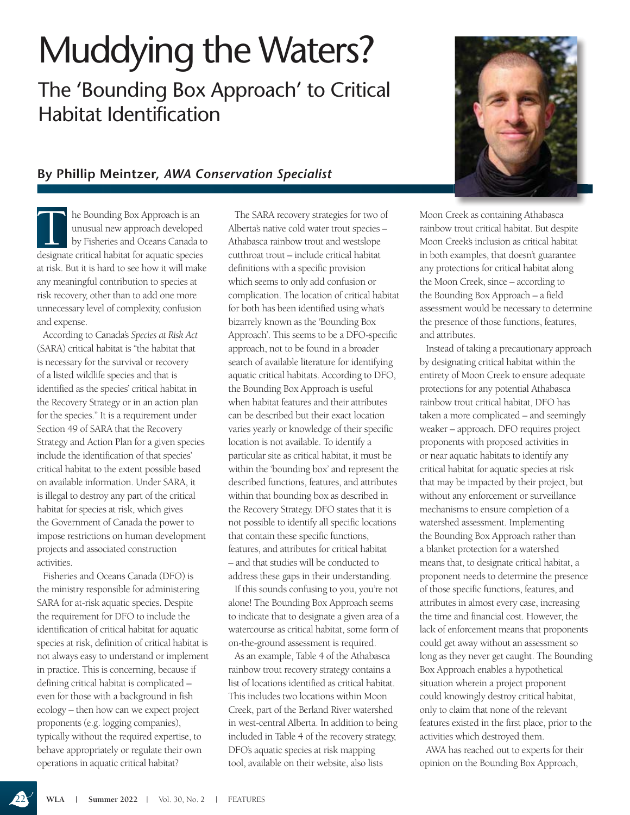## Muddying the Waters?

The 'Bounding Box Approach' to Critical Habitat Identification

## **By Phillip Meintzer,** *AWA Conservation Specialist*

**The Bounding Box Approach is an unusual new approach developed by Fisheries and Oceans Canada to designate critical habitat for aquatic species** unusual new approach developed by Fisheries and Oceans Canada to at risk. But it is hard to see how it will make any meaningful contribution to species at risk recovery, other than to add one more unnecessary level of complexity, confusion and expense.

According to Canada's *Species at Risk Act* (SARA) critical habitat is "the habitat that is necessary for the survival or recovery of a listed wildlife species and that is identified as the species' critical habitat in the Recovery Strategy or in an action plan for the species." It is a requirement under Section 49 of SARA that the Recovery Strategy and Action Plan for a given species include the identification of that species' critical habitat to the extent possible based on available information. Under SARA, it is illegal to destroy any part of the critical habitat for species at risk, which gives the Government of Canada the power to impose restrictions on human development projects and associated construction activities.

Fisheries and Oceans Canada (DFO) is the ministry responsible for administering SARA for at-risk aquatic species. Despite the requirement for DFO to include the identification of critical habitat for aquatic species at risk, definition of critical habitat is not always easy to understand or implement in practice. This is concerning, because if defining critical habitat is complicated – even for those with a background in fish ecology – then how can we expect project proponents (e.g. logging companies), typically without the required expertise, to behave appropriately or regulate their own operations in aquatic critical habitat?

The SARA recovery strategies for two of Alberta's native cold water trout species – Athabasca rainbow trout and westslope cutthroat trout – include critical habitat definitions with a specific provision which seems to only add confusion or complication. The location of critical habitat for both has been identified using what's bizarrely known as the 'Bounding Box Approach'. This seems to be a DFO-specific approach, not to be found in a broader search of available literature for identifying aquatic critical habitats. According to DFO, the Bounding Box Approach is useful when habitat features and their attributes can be described but their exact location varies yearly or knowledge of their specific location is not available. To identify a particular site as critical habitat, it must be within the 'bounding box' and represent the described functions, features, and attributes within that bounding box as described in the Recovery Strategy. DFO states that it is not possible to identify all specific locations that contain these specific functions, features, and attributes for critical habitat – and that studies will be conducted to address these gaps in their understanding.

If this sounds confusing to you, you're not alone! The Bounding Box Approach seems to indicate that to designate a given area of a watercourse as critical habitat, some form of on-the-ground assessment is required.

As an example, Table 4 of the Athabasca rainbow trout recovery strategy contains a list of locations identified as critical habitat. This includes two locations within Moon Creek, part of the Berland River watershed in west-central Alberta. In addition to being included in Table 4 of the recovery strategy, DFO's aquatic species at risk mapping tool, available on their website, also lists



Moon Creek as containing Athabasca rainbow trout critical habitat. But despite Moon Creek's inclusion as critical habitat in both examples, that doesn't guarantee any protections for critical habitat along the Moon Creek, since – according to the Bounding Box Approach – a field assessment would be necessary to determine the presence of those functions, features, and attributes.

Instead of taking a precautionary approach by designating critical habitat within the entirety of Moon Creek to ensure adequate protections for any potential Athabasca rainbow trout critical habitat, DFO has taken a more complicated – and seemingly weaker – approach. DFO requires project proponents with proposed activities in or near aquatic habitats to identify any critical habitat for aquatic species at risk that may be impacted by their project, but without any enforcement or surveillance mechanisms to ensure completion of a watershed assessment. Implementing the Bounding Box Approach rather than a blanket protection for a watershed means that, to designate critical habitat, a proponent needs to determine the presence of those specific functions, features, and attributes in almost every case, increasing the time and financial cost. However, the lack of enforcement means that proponents could get away without an assessment so long as they never get caught. The Bounding Box Approach enables a hypothetical situation wherein a project proponent could knowingly destroy critical habitat, only to claim that none of the relevant features existed in the first place, prior to the activities which destroyed them.

AWA has reached out to experts for their opinion on the Bounding Box Approach,